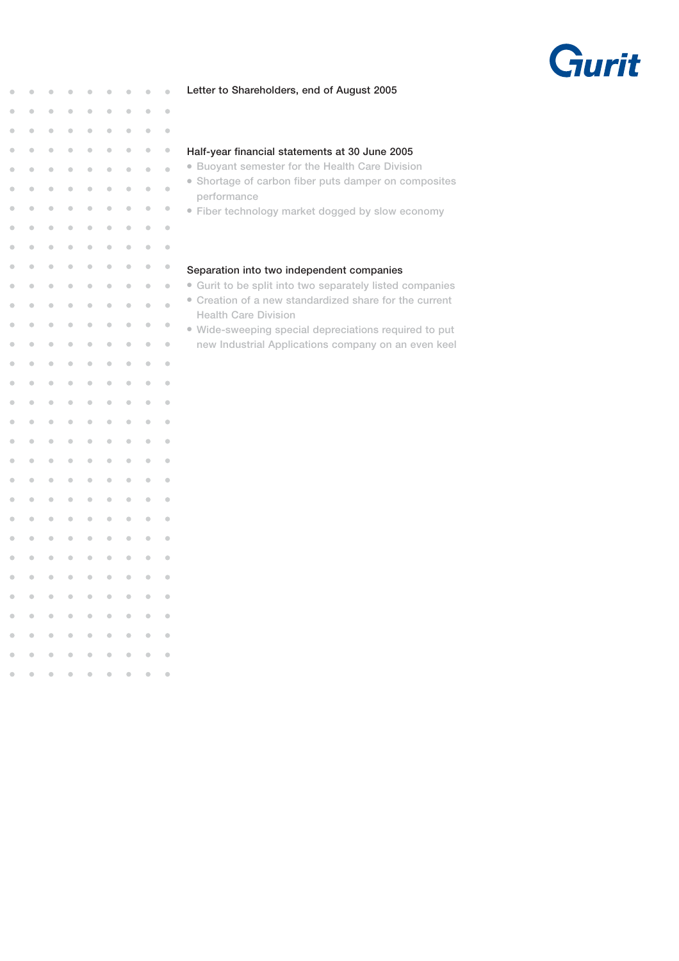

|                |             |                |                |             |                |                      |                         | Letter to Sharenolders, end of August 2003                                           |
|----------------|-------------|----------------|----------------|-------------|----------------|----------------------|-------------------------|--------------------------------------------------------------------------------------|
|                |             |                |                |             |                |                      |                         |                                                                                      |
| $\blacksquare$ | $\triangle$ | $\blacksquare$ | $\bullet$      | ó           | $\bullet$      | $\blacksquare$       | $\triangle$             |                                                                                      |
| ۸              | ۵           | $\blacksquare$ | $\triangle$    | ۰           | $\triangle$    | $\triangle$          | $\bullet$               | Half-year financial statements at 30 June 2005                                       |
| $\triangle$    | $\bigcirc$  | $\triangle$    | $\triangle$    | $\triangle$ | $\triangleq$   | $\triangle$          | $\bigcirc$              | • Buoyant semester for the Health Care Division                                      |
| ó              |             | $\bigcirc$     |                | $\bullet$   | $\bullet$      | $\bullet$            | $\bigcirc$              | Shortage of carbon fiber puts damper on composites<br>$\bullet$<br>performance       |
| ۰              |             | $\bullet$      |                | $\bullet$   | $\bullet$      | $\bullet$            | $\color{black} \bullet$ | • Fiber technology market dogged by slow economy                                     |
|                |             |                |                |             |                |                      |                         |                                                                                      |
| ۰              |             | $\bullet$      |                | $\bullet$   | $\bullet$      | $\triangle$          | $\bullet$               |                                                                                      |
| ۰              |             | ٠              | ۵              | ۵           | $\triangle$    | ۰                    | $\bullet$               | Separation into two independent companies                                            |
| ۰              | $\bullet$   | $\bullet$      | $\blacksquare$ | $\bullet$   | $\blacksquare$ | ۰                    | $\bullet$               | • Gurit to be split into two separately listed companies                             |
| ó              |             | ó              | $\triangle$    | ö           | $\blacksquare$ | $\triangleq$         | $\blacksquare$          | • Creation of a new standardized share for the current                               |
| $\bullet$      | $\bigcirc$  | $\bigcirc$     | $\bigcirc$     | $\bullet$   | $\bigcirc$     | $\qquad \qquad \Box$ | $\bullet$               | <b>Health Care Division</b><br>· Wide-sweeping special depreciations required to put |
| ó              |             | Ċ              |                | ö           | $\bullet$      |                      | $\bullet$               | new Industrial Applications company on an even keel                                  |
| $\bullet$      |             | $\bigcirc$     |                | $\bullet$   | $\bullet$      |                      | $\bullet$               |                                                                                      |
| ó              |             | $\triangle$    | $\triangle$    | ă           | $\triangleq$   |                      | $\bullet$               |                                                                                      |
| ó              | ٠           | $\blacksquare$ | $\triangle$    | $\triangle$ | $\triangle$    |                      | $\blacksquare$          |                                                                                      |
| $\triangle$    | $\triangle$ | $\triangle$    | $\triangle$    | $\triangle$ | $\triangle$    | $\triangle$          | $\bigcirc$              |                                                                                      |
| ó              | $\triangle$ | $\blacksquare$ | $\triangle$    | $\bigcirc$  | $\bullet$      | $\triangle$          | $\bigcirc$              |                                                                                      |
| ۰              | $\triangle$ | $\bigcirc$     | $\triangle$    | $\triangle$ | $\triangle$    | ۰                    | $\bigcirc$              |                                                                                      |
| n              |             | $\triangle$    |                | ä           | $\triangle$    |                      | $\blacksquare$          |                                                                                      |
| ۰              |             | $\bullet$      |                | $\bullet$   | $\triangle$    | $\blacksquare$       | $\blacksquare$          |                                                                                      |
|                |             | $\bullet$      |                | ۵           | ۰              |                      | ۰                       |                                                                                      |
| $\bullet$      | $\bullet$   | $\bullet$      | $\bigcirc$     | $\bullet$   | $\bullet$      |                      | $\bullet$               |                                                                                      |
| ó.             |             | ó              | ó              | ó           | $\triangle$    |                      | $\bullet$               |                                                                                      |
| $\bigcirc$     | $\bigcirc$  | $\bullet$      | $\bigcirc$     | $\bullet$   | $\bullet$      | $\bigcirc$           | $\bullet$               |                                                                                      |
| ó              |             | $\triangle$    | $\triangle$    | $\triangle$ | $\triangle$    | $\triangle$          | $\bigcirc$              |                                                                                      |
| ó              | $\triangle$ | $\bullet$      | $\blacksquare$ | $\bullet$   | $\bullet$      |                      | $\bullet$               |                                                                                      |
|                |             |                |                |             |                |                      | ä                       |                                                                                      |
|                |             |                |                |             |                |                      |                         |                                                                                      |
|                |             |                |                |             |                |                      |                         |                                                                                      |
|                |             |                |                |             |                |                      |                         |                                                                                      |

### **Letter to Shareholders, end of August 2005**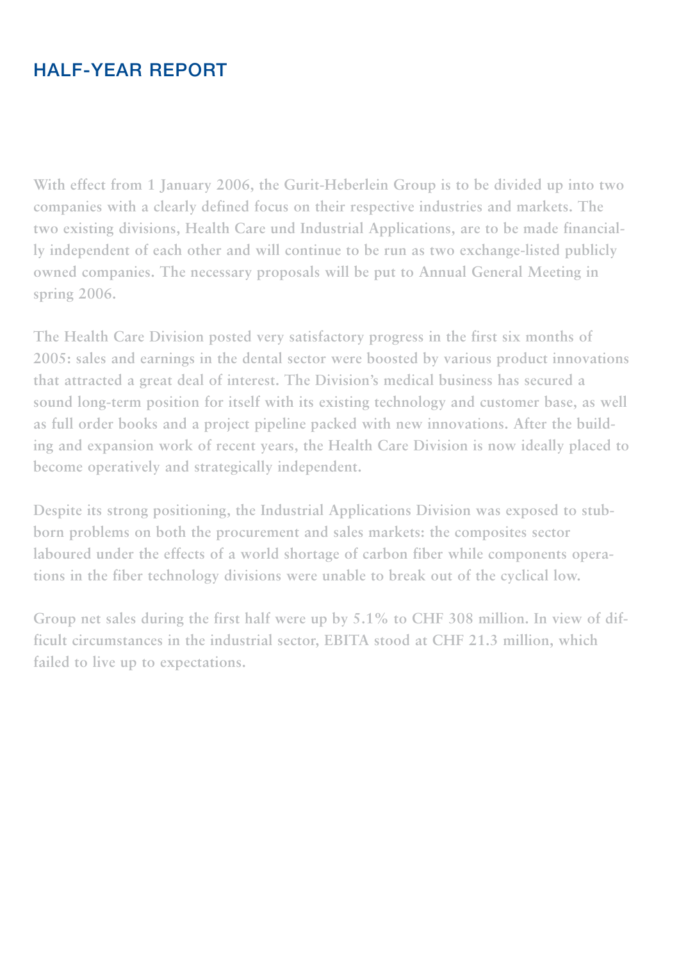## **HALF-YEAR REPORT**

**With effect from 1 January 2006, the Gurit-Heberlein Group is to be divided up into two companies with a clearly defined focus on their respective industries and markets. The two existing divisions, Health Care und Industrial Applications, are to be made financially independent of each other and will continue to be run as two exchange-listed publicly owned companies. The necessary proposals will be put to Annual General Meeting in spring 2006.**

**The Health Care Division posted very satisfactory progress in the first six months of 2005: sales and earnings in the dental sector were boosted by various product innovations that attracted a great deal of interest. The Division's medical business has secured a sound long-term position for itself with its existing technology and customer base, as well as full order books and a project pipeline packed with new innovations. After the building and expansion work of recent years, the Health Care Division is now ideally placed to become operatively and strategically independent.**

**Despite its strong positioning, the Industrial Applications Division was exposed to stubborn problems on both the procurement and sales markets: the composites sector laboured under the effects of a world shortage of carbon fiber while components operations in the fiber technology divisions were unable to break out of the cyclical low.**

**Group net sales during the first half were up by 5.1% to CHF 308 million. In view of difficult circumstances in the industrial sector, EBITA stood at CHF 21.3 million, which failed to live up to expectations.**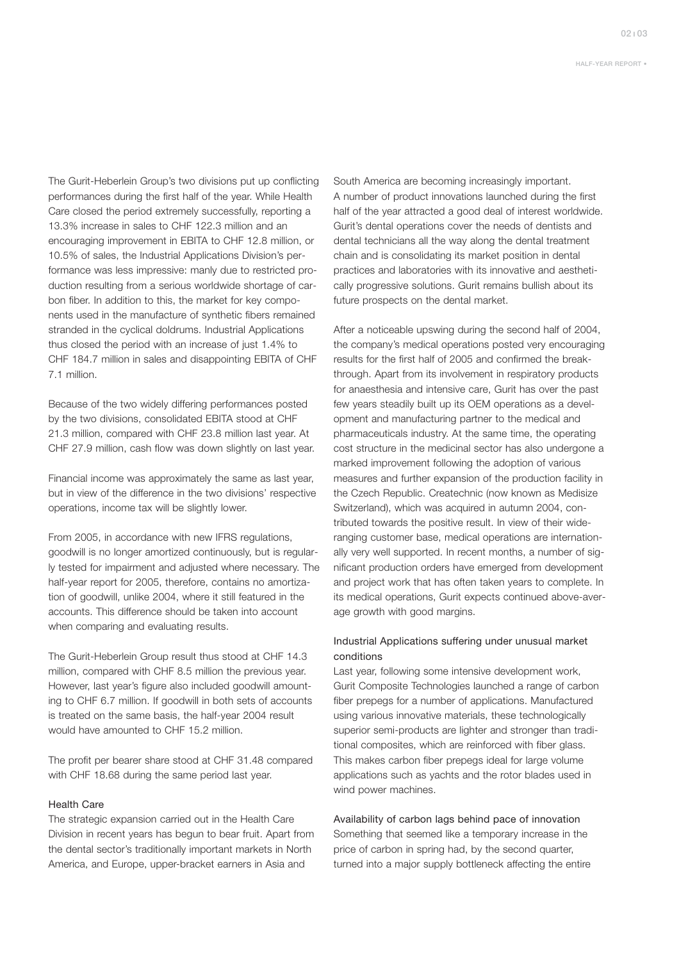**02 ı 03**

The Gurit-Heberlein Group's two divisions put up conflicting performances during the first half of the year. While Health Care closed the period extremely successfully, reporting a 13.3% increase in sales to CHF 122.3 million and an encouraging improvement in EBITA to CHF 12.8 million, or 10.5% of sales, the Industrial Applications Division's performance was less impressive: manly due to restricted production resulting from a serious worldwide shortage of carbon fiber. In addition to this, the market for key components used in the manufacture of synthetic fibers remained stranded in the cyclical doldrums. Industrial Applications thus closed the period with an increase of just 1.4% to CHF 184.7 million in sales and disappointing EBITA of CHF 7.1 million.

Because of the two widely differing performances posted by the two divisions, consolidated EBITA stood at CHF 21.3 million, compared with CHF 23.8 million last year. At CHF 27.9 million, cash flow was down slightly on last year.

Financial income was approximately the same as last year, but in view of the difference in the two divisions' respective operations, income tax will be slightly lower.

From 2005, in accordance with new IFRS regulations, goodwill is no longer amortized continuously, but is regularly tested for impairment and adjusted where necessary. The half-year report for 2005, therefore, contains no amortization of goodwill, unlike 2004, where it still featured in the accounts. This difference should be taken into account when comparing and evaluating results.

The Gurit-Heberlein Group result thus stood at CHF 14.3 million, compared with CHF 8.5 million the previous year. However, last year's figure also included goodwill amounting to CHF 6.7 million. If goodwill in both sets of accounts is treated on the same basis, the half-year 2004 result would have amounted to CHF 15.2 million.

The profit per bearer share stood at CHF 31.48 compared with CHF 18.68 during the same period last year.

### Health Care

The strategic expansion carried out in the Health Care Division in recent years has begun to bear fruit. Apart from the dental sector's traditionally important markets in North America, and Europe, upper-bracket earners in Asia and

South America are becoming increasingly important. A number of product innovations launched during the first half of the year attracted a good deal of interest worldwide. Gurit's dental operations cover the needs of dentists and dental technicians all the way along the dental treatment chain and is consolidating its market position in dental practices and laboratories with its innovative and aesthetically progressive solutions. Gurit remains bullish about its future prospects on the dental market.

After a noticeable upswing during the second half of 2004, the company's medical operations posted very encouraging results for the first half of 2005 and confirmed the breakthrough. Apart from its involvement in respiratory products for anaesthesia and intensive care, Gurit has over the past few years steadily built up its OEM operations as a development and manufacturing partner to the medical and pharmaceuticals industry. At the same time, the operating cost structure in the medicinal sector has also undergone a marked improvement following the adoption of various measures and further expansion of the production facility in the Czech Republic. Createchnic (now known as Medisize Switzerland), which was acquired in autumn 2004, contributed towards the positive result. In view of their wideranging customer base, medical operations are internationally very well supported. In recent months, a number of significant production orders have emerged from development and project work that has often taken years to complete. In its medical operations, Gurit expects continued above-average growth with good margins.

### Industrial Applications suffering under unusual market conditions

Last year, following some intensive development work, Gurit Composite Technologies launched a range of carbon fiber prepegs for a number of applications. Manufactured using various innovative materials, these technologically superior semi-products are lighter and stronger than traditional composites, which are reinforced with fiber glass. This makes carbon fiber prepegs ideal for large volume applications such as yachts and the rotor blades used in wind power machines.

Availability of carbon lags behind pace of innovation Something that seemed like a temporary increase in the price of carbon in spring had, by the second quarter, turned into a major supply bottleneck affecting the entire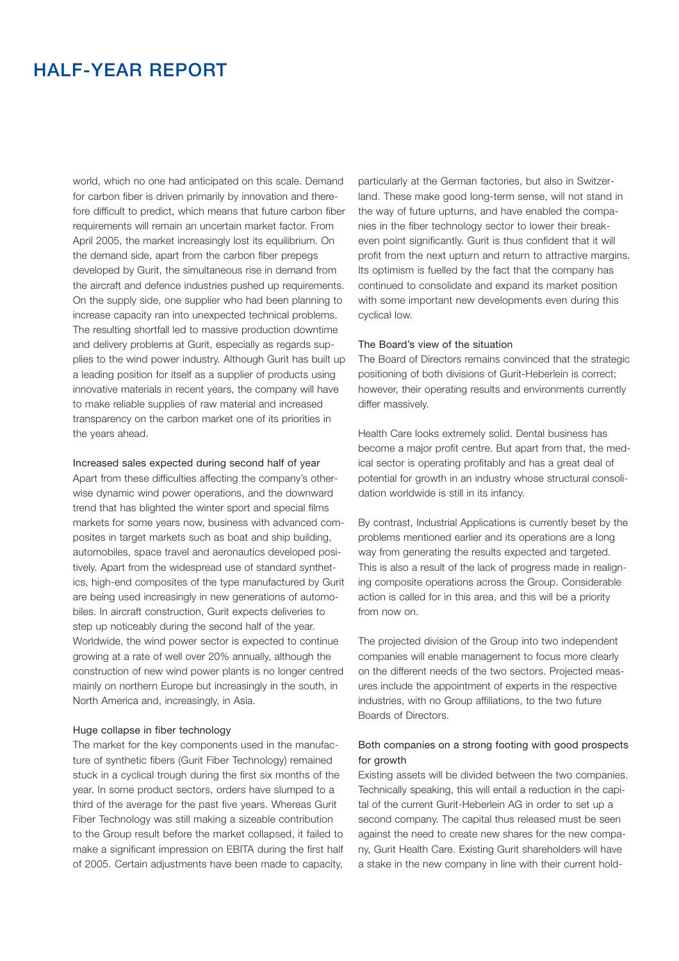### **HALF-YEAR REPORT**

world, which no one had anticipated on this scale. Demand for carbon fiber is driven primarily by innovation and therefore difficult to predict, which means that future carbon fiber requirements will remain an uncertain market factor. From April 2005, the market increasingly lost its equilibrium. On the demand side, apart from the carbon fiber prepegs developed by Gurit, the simultaneous rise in demand from the aircraft and defence industries pushed up requirements. On the supply side, one supplier who had been planning to increase capacity ran into unexpected technical problems. The resulting shortfall led to massive production downtime and delivery problems at Gurit, especially as regards supplies to the wind power industry. Although Gurit has built up a leading position for itself as a supplier of products using innovative materials in recent years, the company will have to make reliable supplies of raw material and increased transparency on the carbon market one of its priorities in the years ahead.

### Increased sales expected during second half of year

Apart from these difficulties affecting the company's otherwise dynamic wind power operations, and the downward trend that has blighted the winter sport and special films markets for some years now, business with advanced composites in target markets such as boat and ship building, automobiles, space travel and aeronautics developed positively. Apart from the widespread use of standard synthetics, high-end composites of the type manufactured by Gurit are being used increasingly in new generations of automobiles. In aircraft construction, Gurit expects deliveries to step up noticeably during the second half of the year. Worldwide, the wind power sector is expected to continue growing at a rate of well over 20% annually, although the construction of new wind power plants is no longer centred mainly on northern Europe but increasingly in the south, in North America and, increasingly, in Asia.

### Huge collapse in fiber technology

The market for the key components used in the manufacture of synthetic fibers (Gurit Fiber Technology) remained stuck in a cyclical trough during the first six months of the year. In some product sectors, orders have slumped to a third of the average for the past five years. Whereas Gurit Fiber Technology was still making a sizeable contribution to the Group result before the market collapsed, it failed to make a significant impression on EBITA during the first half of 2005. Certain adjustments have been made to capacity, particularly at the German factories, but also in Switzerland. These make good long-term sense, will not stand in the way of future upturns, and have enabled the companies in the fiber technology sector to lower their breakeven point significantly. Gurit is thus confident that it will profit from the next upturn and return to attractive margins. Its optimism is fuelled by the fact that the company has continued to consolidate and expand its market position with some important new developments even during this cyclical low.

#### The Board's view of the situation

The Board of Directors remains convinced that the strategic positioning of both divisions of Gurit-Heberlein is correct; however, their operating results and environments currently differ massively.

Health Care looks extremely solid. Dental business has become a major profit centre. But apart from that, the medical sector is operating profitably and has a great deal of potential for growth in an industry whose structural consolidation worldwide is still in its infancy.

By contrast, Industrial Applications is currently beset by the problems mentioned earlier and its operations are a long way from generating the results expected and targeted. This is also a result of the lack of progress made in realigning composite operations across the Group. Considerable action is called for in this area, and this will be a priority from now on.

The projected division of the Group into two independent companies will enable management to focus more clearly on the different needs of the two sectors. Projected measures include the appointment of experts in the respective industries, with no Group affiliations, to the two future Boards of Directors.

### Both companies on a strong footing with good prospects for growth

Existing assets will be divided between the two companies. Technically speaking, this will entail a reduction in the capital of the current Gurit-Heberlein AG in order to set up a second company. The capital thus released must be seen against the need to create new shares for the new company, Gurit Health Care. Existing Gurit shareholders will have a stake in the new company in line with their current hold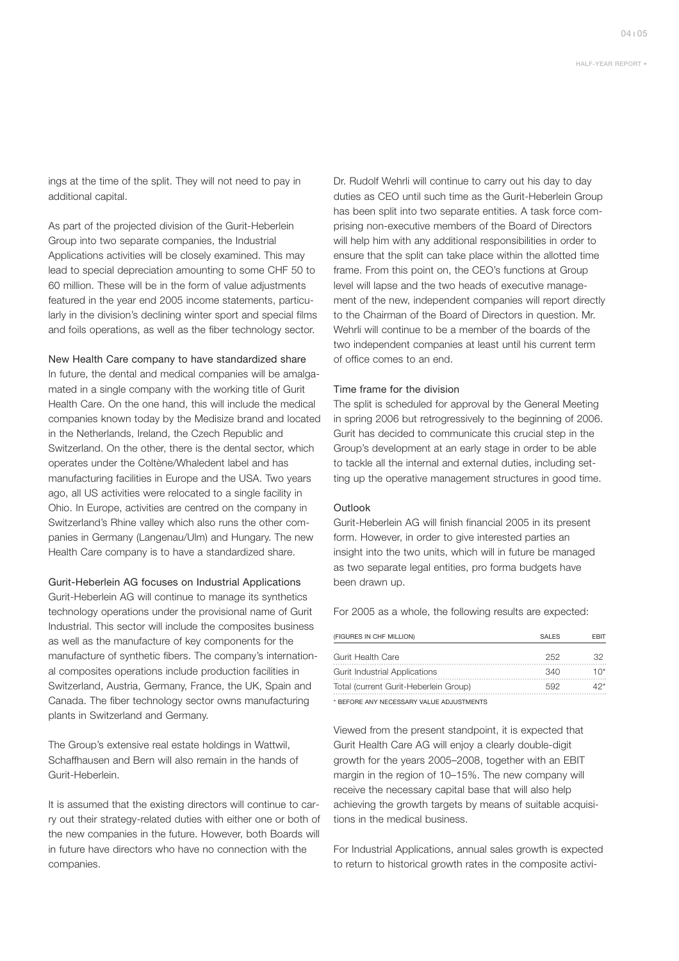ings at the time of the split. They will not need to pay in additional capital.

As part of the projected division of the Gurit-Heberlein Group into two separate companies, the Industrial Applications activities will be closely examined. This may lead to special depreciation amounting to some CHF 50 to 60 million. These will be in the form of value adjustments featured in the year end 2005 income statements, particularly in the division's declining winter sport and special films and foils operations, as well as the fiber technology sector.

#### New Health Care company to have standardized share

In future, the dental and medical companies will be amalgamated in a single company with the working title of Gurit Health Care. On the one hand, this will include the medical companies known today by the Medisize brand and located in the Netherlands, Ireland, the Czech Republic and Switzerland. On the other, there is the dental sector, which operates under the Coltène/Whaledent label and has manufacturing facilities in Europe and the USA. Two years ago, all US activities were relocated to a single facility in Ohio. In Europe, activities are centred on the company in Switzerland's Rhine valley which also runs the other companies in Germany (Langenau/Ulm) and Hungary. The new Health Care company is to have a standardized share.

### Gurit-Heberlein AG focuses on Industrial Applications

Gurit-Heberlein AG will continue to manage its synthetics technology operations under the provisional name of Gurit Industrial. This sector will include the composites business as well as the manufacture of key components for the manufacture of synthetic fibers. The company's international composites operations include production facilities in Switzerland, Austria, Germany, France, the UK, Spain and Canada. The fiber technology sector owns manufacturing plants in Switzerland and Germany.

The Group's extensive real estate holdings in Wattwil, Schaffhausen and Bern will also remain in the hands of Gurit-Heberlein.

It is assumed that the existing directors will continue to carry out their strategy-related duties with either one or both of the new companies in the future. However, both Boards will in future have directors who have no connection with the companies.

Dr. Rudolf Wehrli will continue to carry out his day to day duties as CEO until such time as the Gurit-Heberlein Group has been split into two separate entities. A task force comprising non-executive members of the Board of Directors will help him with any additional responsibilities in order to ensure that the split can take place within the allotted time frame. From this point on, the CEO's functions at Group level will lapse and the two heads of executive management of the new, independent companies will report directly to the Chairman of the Board of Directors in question. Mr. Wehrli will continue to be a member of the boards of the two independent companies at least until his current term of office comes to an end.

#### Time frame for the division

The split is scheduled for approval by the General Meeting in spring 2006 but retrogressively to the beginning of 2006. Gurit has decided to communicate this crucial step in the Group's development at an early stage in order to be able to tackle all the internal and external duties, including setting up the operative management structures in good time.

#### **Outlook**

Gurit-Heberlein AG will finish financial 2005 in its present form. However, in order to give interested parties an insight into the two units, which will in future be managed as two separate legal entities, pro forma budgets have been drawn up.

For 2005 as a whole, the following results are expected:

| <b>SALES</b> | <b>FBIT</b> |
|--------------|-------------|
| 252          | 32.         |
| 340          | 1 በ*        |
| 592          | 1つ*         |
|              |             |

\* BEFORE ANY NECESSARY VALUE ADJUSTMENTS

Viewed from the present standpoint, it is expected that Gurit Health Care AG will enjoy a clearly double-digit growth for the years 2005–2008, together with an EBIT margin in the region of 10–15%. The new company will receive the necessary capital base that will also help achieving the growth targets by means of suitable acquisitions in the medical business.

For Industrial Applications, annual sales growth is expected to return to historical growth rates in the composite activi-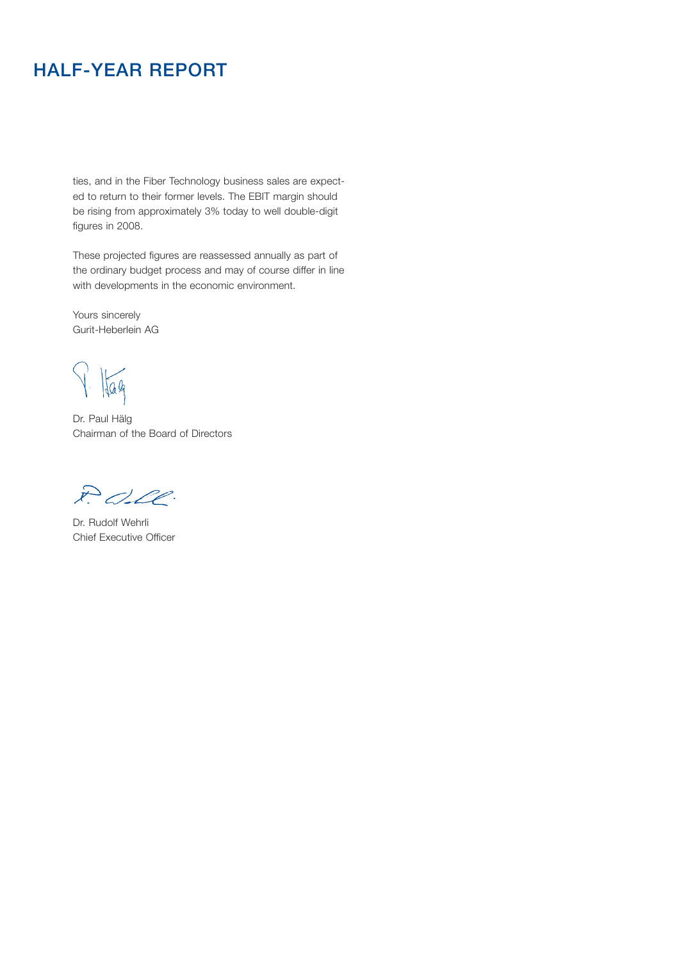### **HALF-YEAR REPORT**

ties, and in the Fiber Technology business sales are expected to return to their former levels. The EBIT margin should be rising from approximately 3% today to well double-digit figures in 2008.

These projected figures are reassessed annually as part of the ordinary budget process and may of course differ in line with developments in the economic environment.

Yours sincerely Gurit-Heberlein AG

 $\sqrt{\frac{1}{169}}$ 

Dr. Paul Hälg Chairman of the Board of Directors

POLO.

Dr. Rudolf Wehrli Chief Executive Officer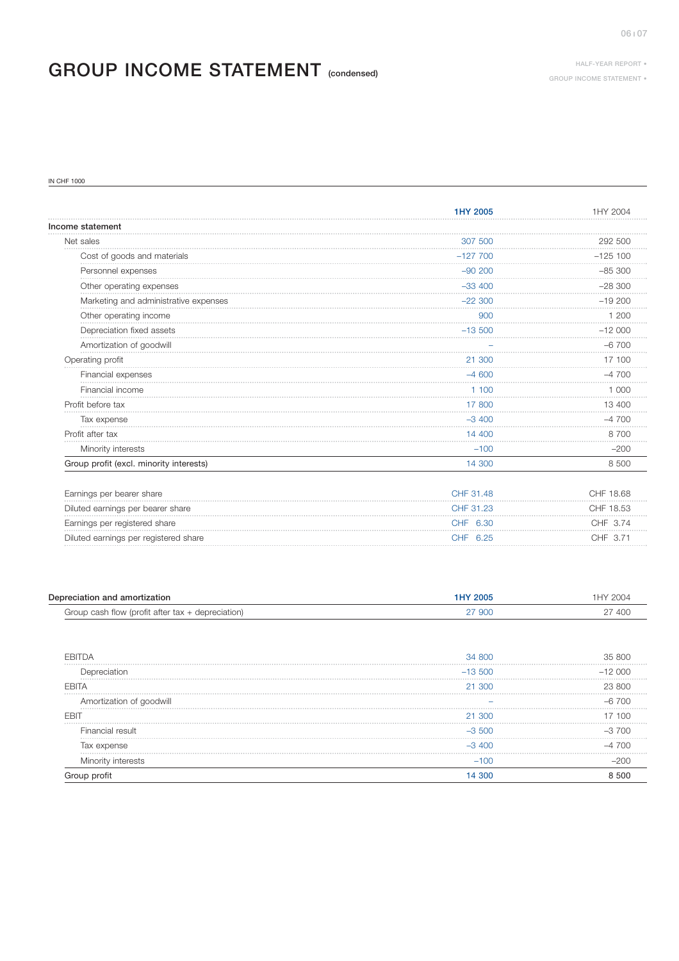# **GROUP INCOME STATEMENT (condensed)**

**HALF-YEAR REPORT •**

**GROUP INCOME STATEMENT •**

IN CHF 1000

|                                         | 1HY 2005  | 1HY 2004  |
|-----------------------------------------|-----------|-----------|
| Income statement                        |           |           |
| Net sales                               | 307 500   | 292 500   |
| Cost of goods and materials             | $-127700$ | $-125100$ |
| Personnel expenses                      | $-90200$  | $-85300$  |
| Other operating expenses                | $-33,400$ | $-28300$  |
| Marketing and administrative expenses   | $-22300$  | $-19200$  |
| Other operating income                  | 900       | 1 200     |
| Depreciation fixed assets               | $-13,500$ | $-12000$  |
| Amortization of goodwill                |           | $-6,700$  |
| Operating profit                        | 21 300    | 17 100    |
| Financial expenses                      | $-4600$   | $-4700$   |
| Financial income                        | 1100      | 1 000     |
| Profit before tax                       | 17 800    | 13 400    |
| Tax expense                             | $-3,400$  | $-4700$   |
| Profit after tax                        | 14 400    | 8700      |
| Minority interests                      | $-100$    | $-200$    |
| Group profit (excl. minority interests) | 14 300    | 8 500     |
|                                         |           |           |
| Earnings per bearer share               | CHF 31.48 | CHF 18.68 |
| Diluted earnings per bearer share       | CHF 31.23 | CHF 18.53 |
| Earnings per registered share           | CHF 6.30  | CHF 3.74  |
| Diluted earnings per registered share   | CHF 6.25  | CHF 3.71  |

| Depreciation and amortization                        | 1HY 2005  |          |  |
|------------------------------------------------------|-----------|----------|--|
| Group cash flow (profit after $tax + depreciation$ ) | 27 900    |          |  |
|                                                      |           |          |  |
| EBITDA                                               | 34 800    | 35 800   |  |
| Depreciation                                         | $-13,500$ | $-12000$ |  |
| <b>FBITA</b>                                         | 21 300    | 23.800   |  |
| Amortization of goodwill                             |           |          |  |
| FB                                                   | -300      |          |  |
| Financial result                                     | $-3,500$  |          |  |
| Tax expense                                          | $-3,400$  | $-4,700$ |  |
| Minority interests                                   | $-100$    | $-200$   |  |
| Group profit                                         |           |          |  |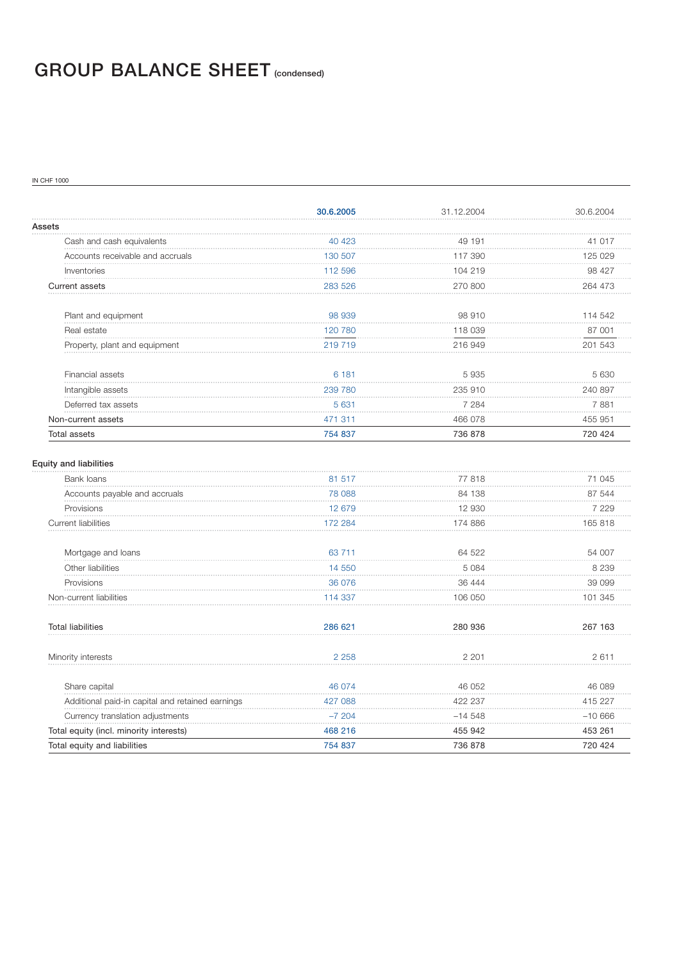## **GROUP BALANCE SHEET (condensed)**

IN CHF 1000

|                                                  | 30.6.2005 | 31.12.2004 | 30.6.2004 |
|--------------------------------------------------|-----------|------------|-----------|
| Assets                                           |           |            |           |
| Cash and cash equivalents                        | 40 423    | 49 191     | 41 017    |
| Accounts receivable and accruals                 | 130 507   | 117 390    | 125 029   |
| Inventories                                      | 112 596   | 104 219    | 98 427    |
| <b>Current assets</b>                            | 283 526   | 270 800    | 264 473   |
| Plant and equipment                              | 98 939    | 98 910     | 114 542   |
| Real estate                                      | 120 780   | 118 039    | 87 001    |
| Property, plant and equipment                    | 219 719   | 216 949    | 201 543   |
| Financial assets                                 | 6 181     | 5 9 3 5    | 5 6 3 0   |
| Intangible assets                                | 239 780   | 235 910    | 240 897   |
| Deferred tax assets                              | 5 631     | 7 2 8 4    | 7881      |
| Non-current assets                               | 471 311   | 466 078    | 455 951   |
| Total assets                                     | 754 837   | 736 878    | 720 424   |
| <b>Equity and liabilities</b>                    |           |            |           |
| Bank loans                                       | 81 517    | 77818      | 71 045    |
| Accounts payable and accruals                    | 78 088    | 84 138     | 87 544    |
| Provisions                                       | 12 679    | 12 930     | 7 2 2 9   |
| Current liabilities                              | 172 284   | 174 886    | 165 818   |
| Mortgage and loans                               | 63 711    | 64 522     | 54 007    |
| Other liabilities                                | 14 550    | 5 0 8 4    | 8 2 3 9   |
| Provisions                                       | 36 076    | 36 444     | 39 099    |
| Non-current liabilities                          | 114 337   | 106 050    | 101 345   |
| <b>Total liabilities</b>                         | 286 621   | 280 936    | 267 163   |
| Minority interests                               | 2 2 5 8   | 2 2 0 1    | 2611      |
| Share capital                                    | 46 074    | 46 052     | 46 089    |
| Additional paid-in capital and retained earnings | 427 088   | 422 237    | 415 227   |
| Currency translation adjustments                 | $-7204$   | $-14548$   | $-10666$  |
| Total equity (incl. minority interests)          | 468 216   | 455 942    | 453 261   |
| Total equity and liabilities                     | 754 837   | 736 878    | 720 424   |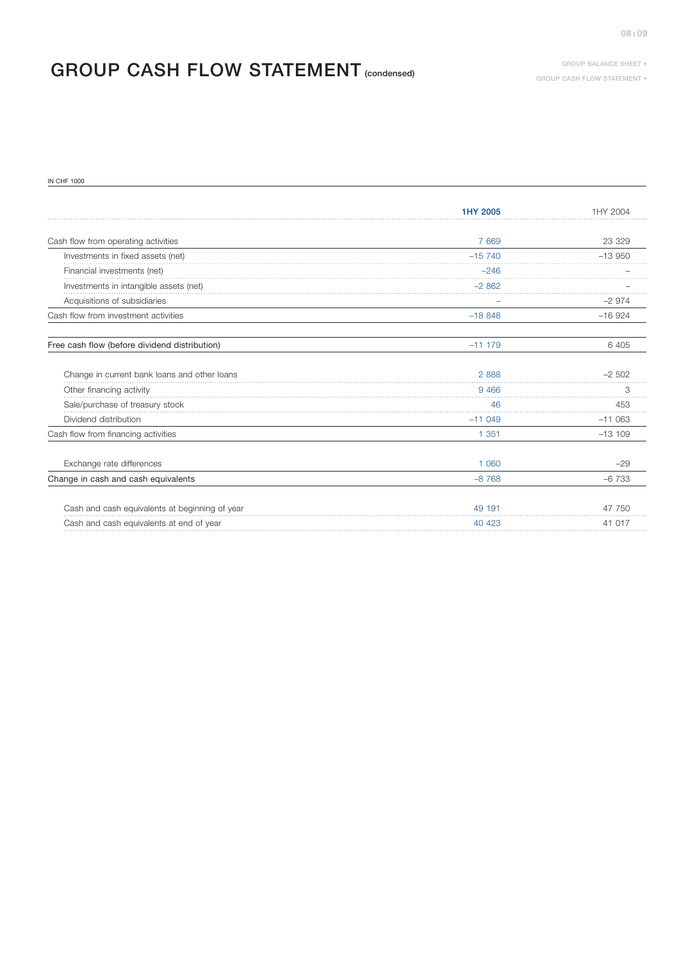# GROUP CASH FLOW STATEMENT (condensed) **GROUP CASH FLOW STATEMENT •** GROUP CASH FLOW STATEMENT •

IN CHF 1000

|                                                | 1HY 2005  | I HY 2004 |
|------------------------------------------------|-----------|-----------|
| Cash flow from operating activities            | 7 6 6 9   | 23 329    |
| Investments in fixed assets (net)              | $-15,740$ | $-13950$  |
| Financial investments (net)                    | $-246$    |           |
| Investments in intangible assets (net)         | $-2862$   |           |
| Acquisitions of subsidiaries                   |           | $-2974$   |
| Cash flow from investment activities           | $-18848$  | $-16924$  |
| Free cash flow (before dividend distribution)  | $-11$ 179 | 6 4 0 5   |
| Change in current bank loans and other loans   | 2888      | $-2.502$  |
| Other financing activity                       | 9466      | 3         |
| Sale/purchase of treasury stock                | 46        | 453       |
| Dividend distribution                          | $-11049$  | $-11063$  |
| Cash flow from financing activities            | 1 3 5 1   | $-13109$  |
| Exchange rate differences                      | 1 060     | $-29$     |
| Change in cash and cash equivalents            | $-8768$   | $-6733$   |
| Cash and cash equivalents at beginning of year | 49 191    | 47 750    |
| Cash and cash equivalents at end of year       | 40 423    | 41 017    |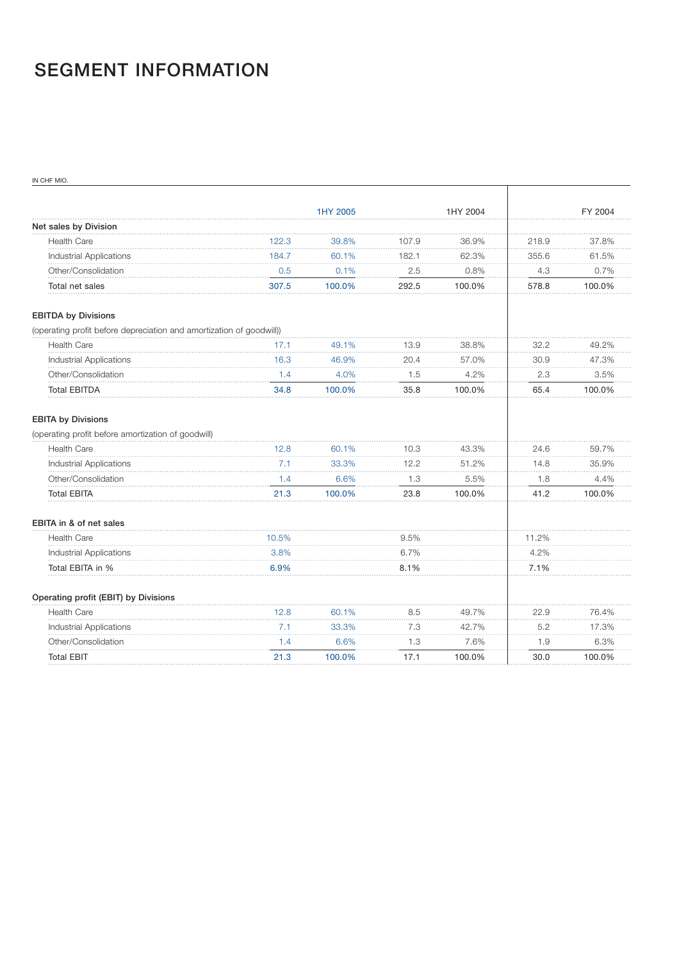## **SEGMENT INFORMATION**

IN CHF MIO.

|                                                                      |       | 1HY 2005 |       | 1HY 2004 |       | FY 2004 |
|----------------------------------------------------------------------|-------|----------|-------|----------|-------|---------|
| Net sales by Division                                                |       |          |       |          |       |         |
| <b>Health Care</b>                                                   | 122.3 | 39.8%    | 107.9 | 36.9%    | 218.9 | 37.8%   |
| <b>Industrial Applications</b>                                       | 184.7 | 60.1%    | 182.1 | 62.3%    | 355.6 | 61.5%   |
| Other/Consolidation                                                  | 0.5   | 0.1%     | 2.5   | 0.8%     | 4.3   | 0.7%    |
| Total net sales                                                      | 307.5 | 100.0%   | 292.5 | 100.0%   | 578.8 | 100.0%  |
| <b>EBITDA by Divisions</b>                                           |       |          |       |          |       |         |
| (operating profit before depreciation and amortization of goodwill)) |       |          |       |          |       |         |
| <b>Health Care</b>                                                   | 17.1  | 49.1%    | 13.9  | 38.8%    | 32.2  | 49.2%   |
| Industrial Applications                                              | 16.3  | 46.9%    | 20.4  | 57.0%    | 30.9  | 47.3%   |
| Other/Consolidation                                                  | 1.4   | 4.0%     | 1.5   | 4.2%     | 2.3   | 3.5%    |
| <b>Total EBITDA</b>                                                  | 34.8  | 100.0%   | 35.8  | 100.0%   | 65.4  | 100.0%  |
| <b>EBITA by Divisions</b>                                            |       |          |       |          |       |         |
| (operating profit before amortization of goodwill)                   |       |          |       |          |       |         |
| <b>Health Care</b>                                                   | 12.8  | 60.1%    | 10.3  | 43.3%    | 24.6  | 59.7%   |
| Industrial Applications                                              | 7.1   | 33.3%    | 12.2  | 51.2%    | 14.8  | 35.9%   |
| Other/Consolidation                                                  | 1.4   | 6.6%     | 1.3   | 5.5%     | 1.8   | 4.4%    |
| <b>Total EBITA</b>                                                   | 21.3  | 100.0%   | 23.8  | 100.0%   | 41.2  | 100.0%  |
| EBITA in & of net sales                                              |       |          |       |          |       |         |
| <b>Health Care</b>                                                   | 10.5% |          | 9.5%  |          | 11.2% |         |
| Industrial Applications                                              | 3.8%  |          | 6.7%  |          | 4.2%  |         |
| Total EBITA in %                                                     | 6.9%  |          | 8.1%  |          | 7.1%  |         |
| Operating profit (EBIT) by Divisions                                 |       |          |       |          |       |         |
| <b>Health Care</b>                                                   | 12.8  | 60.1%    | 8.5   | 49.7%    | 22.9  | 76.4%   |
| Industrial Applications                                              | 7.1   | 33.3%    | 7.3   | 42.7%    | 5.2   | 17.3%   |
| Other/Consolidation                                                  | 1.4   | 6.6%     | 1.3   | 7.6%     | 1.9   | 6.3%    |
|                                                                      |       |          |       |          |       |         |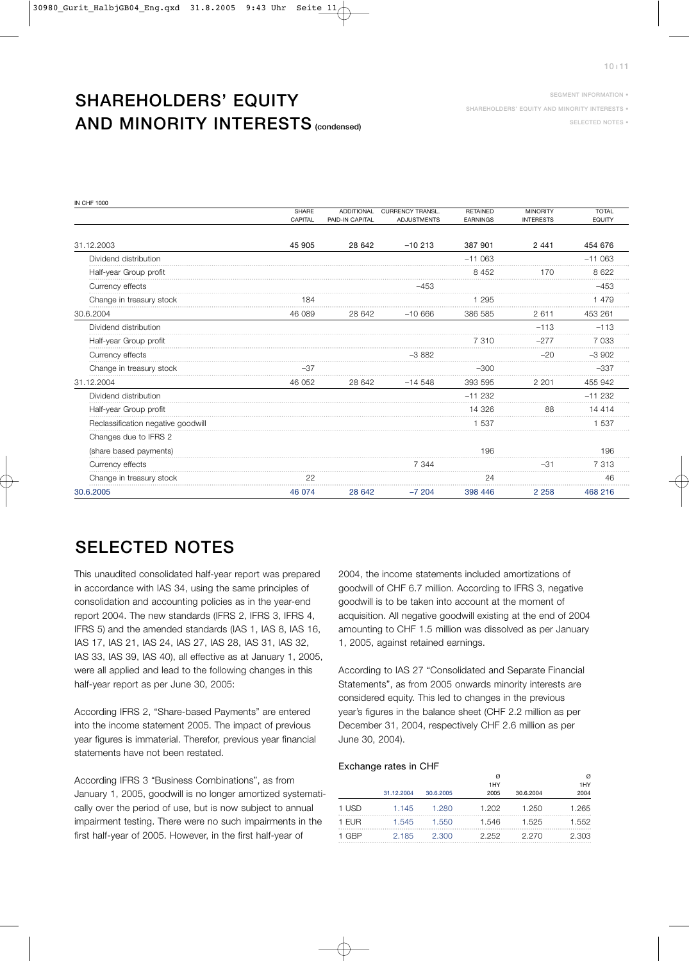SEGMENT INFORMATION •

SHAREHOLDERS' EQUITY AND MINORITY INTERESTS •

### SELECTED NOTES •

## SHAREHOLDERS' EQUITY AND MINORITY INTERESTS (condensed)

| <b>IN CHF 1000</b>                 |                         |                   |                                               |                 |                                     |                        |
|------------------------------------|-------------------------|-------------------|-----------------------------------------------|-----------------|-------------------------------------|------------------------|
|                                    | <b>SHARE</b><br>CAPITAL | <b>ADDITIONAL</b> | <b>CURRENCY TRANSL.</b><br><b>ADJUSTMENTS</b> | <b>RETAINED</b> | <b>MINORITY</b><br><b>INTERESTS</b> | <b>TOTAL</b><br>EQUITY |
|                                    |                         | PAID-IN CAPITAL   |                                               | <b>EARNINGS</b> |                                     |                        |
| 31.12.2003                         | 45 905                  | 28 642            | $-10213$                                      | 387 901         | 2 4 4 1                             | 454 676                |
| Dividend distribution              |                         |                   |                                               | $-11.063$       |                                     | $-11063$               |
| Half-year Group profit             |                         |                   |                                               | 8 4 5 2         | 170                                 | 8 6 2 2                |
| Currency effects                   |                         |                   | $-453$                                        |                 |                                     | $-453$                 |
| Change in treasury stock           | 184                     |                   |                                               | 1 2 9 5         |                                     | 1 479                  |
| 30.6.2004                          | 46 089                  | 28 642            | $-10.666$                                     | 386 585         | 2611                                | 453 261                |
| Dividend distribution              |                         |                   |                                               |                 | $-113$                              | $-113$                 |
| Half-year Group profit             |                         |                   |                                               | 7 3 1 0         | $-277$                              | 7 0 3 3                |
| Currency effects                   |                         |                   | $-3.882$                                      |                 | $-20$                               | $-3902$                |
| Change in treasury stock           | $-37$                   |                   |                                               | -300            |                                     | $-337$                 |
| 31.12.2004                         | 46 052                  | 28 642            | $-14.548$                                     | 393 595         | 2 2 0 1                             | 455 942                |
| Dividend distribution              |                         |                   |                                               | $-11232$        |                                     | $-11232$               |
| Half-year Group profit             |                         |                   |                                               | 14 326          | 88                                  | 14 4 14                |
| Reclassification negative goodwill |                         |                   |                                               | 1 537           |                                     | 1 537                  |
| Changes due to IFRS 2              |                         |                   |                                               |                 |                                     |                        |
| (share based payments)             |                         |                   |                                               | 196             |                                     | 196                    |
| Currency effects                   |                         |                   | 7 344                                         |                 | $-31$                               | 7 3 1 3                |
| Change in treasury stock           | 22                      |                   |                                               | 24              |                                     | 46                     |
| 30.6.2005                          | 46 074                  | 28 642            | $-7204$                                       | 398 446         | 2 2 5 8                             | 468 216                |

### SELECTED NOTES

This unaudited consolidated half-year report was prepared in accordance with IAS 34, using the same principles of consolidation and accounting policies as in the year-end report 2004. The new standards (IFRS 2, IFRS 3, IFRS 4, IFRS 5) and the amended standards (IAS 1, IAS 8, IAS 16, IAS 17, IAS 21, IAS 24, IAS 27, IAS 28, IAS 31, IAS 32, IAS 33, IAS 39, IAS 40), all effective as at January 1, 2005, were all applied and lead to the following changes in this half-year report as per June 30, 2005:

According IFRS 2, "Share-based Payments" are entered into the income statement 2005. The impact of previous year figures is immaterial. Therefor, previous year financial statements have not been restated.

According IFRS 3 "Business Combinations", as from January 1, 2005, goodwill is no longer amortized systematically over the period of use, but is now subject to annual impairment testing. There were no such impairments in the first half-year of 2005. However, in the first half-year of

2004, the income statements included amortizations of goodwill of CHF 6.7 million. According to IFRS 3, negative goodwill is to be taken into account at the moment of acquisition. All negative goodwill existing at the end of 2004 amounting to CHF 1.5 million was dissolved as per January 1, 2005, against retained earnings.

According to IAS 27 "Consolidated and Separate Financial Statements", as from 2005 onwards minority interests are considered equity. This led to changes in the previous year's figures in the balance sheet (CHF 2.2 million as per December 31, 2004, respectively CHF 2.6 million as per June 30, 2004).

### Exchange rates in CHF

|       | 31.12.2004 | 30.6.2005 | Ø<br>1HY<br>2005 | 30.6.2004 | Ø<br>1HY<br>2004 |
|-------|------------|-----------|------------------|-----------|------------------|
| 1 USD | 1.145      | 1.280     | 1.202            | 1.250     | 1.265            |
| 1 EUR | 1.545      | 1.550     | 1.546            | 1.525     | 1.552            |
| 1 GBP | 2.185      | 2.300     | 2.252            | 2.270     | 2.303            |